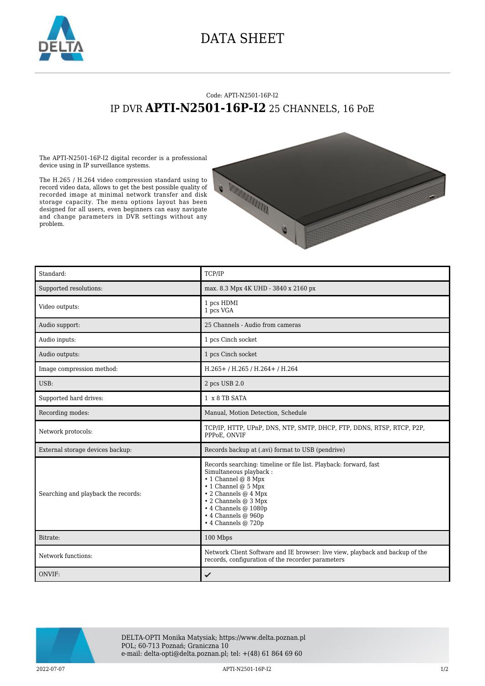

## DATA SHEET

## Code: APTI-N2501-16P-I2 IP DVR **APTI-N2501-16P-I2** 25 CHANNELS, 16 PoE

The APTI-N2501-16P-I2 digital recorder is a professional device using in IP surveillance systems.

The H.265 / H.264 video compression standard using to record video data, allows to get the best possible quality of recorded image at minimal network transfer and disk storage capacity. The menu options layout has been designed for all users, even beginners can easy navigate and change parameters in DVR settings without any problem.



| Standard:                           | TCP/IP                                                                                                                                                                                                                                                                                              |
|-------------------------------------|-----------------------------------------------------------------------------------------------------------------------------------------------------------------------------------------------------------------------------------------------------------------------------------------------------|
| Supported resolutions:              | max. 8.3 Mpx 4K UHD - 3840 x 2160 px                                                                                                                                                                                                                                                                |
| Video outputs:                      | 1 pcs HDMI<br>1 pcs VGA                                                                                                                                                                                                                                                                             |
| Audio support:                      | 25 Channels - Audio from cameras                                                                                                                                                                                                                                                                    |
| Audio inputs:                       | 1 pcs Cinch socket                                                                                                                                                                                                                                                                                  |
| Audio outputs:                      | 1 pcs Cinch socket                                                                                                                                                                                                                                                                                  |
| Image compression method:           | H.265+ / H.265 / H.264+ / H.264                                                                                                                                                                                                                                                                     |
| USB:                                | 2 pcs USB 2.0                                                                                                                                                                                                                                                                                       |
| Supported hard drives:              | 1 x 8 TB SATA                                                                                                                                                                                                                                                                                       |
| Recording modes:                    | Manual, Motion Detection, Schedule                                                                                                                                                                                                                                                                  |
| Network protocols:                  | TCP/IP, HTTP, UPnP, DNS, NTP, SMTP, DHCP, FTP, DDNS, RTSP, RTCP, P2P,<br>PPPoE. ONVIF                                                                                                                                                                                                               |
| External storage devices backup:    | Records backup at (.avi) format to USB (pendrive)                                                                                                                                                                                                                                                   |
| Searching and playback the records: | Records searching: timeline or file list. Playback: forward, fast<br>Simultaneous playback:<br>$\cdot$ 1 Channel @ 8 Mpx<br>$\cdot$ 1 Channel @ 5 Mpx<br>$\cdot$ 2 Channels @ 4 Mpx<br>$\cdot$ 2 Channels @ 3 Mpx<br>$\cdot$ 4 Channels @ 1080p<br>$\cdot$ 4 Channels @ 960p<br>• 4 Channels @ 720p |
| Bitrate:                            | 100 Mbps                                                                                                                                                                                                                                                                                            |
| Network functions:                  | Network Client Software and IE browser: live view, playback and backup of the<br>records, configuration of the recorder parameters                                                                                                                                                                  |
| ONVIF:                              | ✓                                                                                                                                                                                                                                                                                                   |